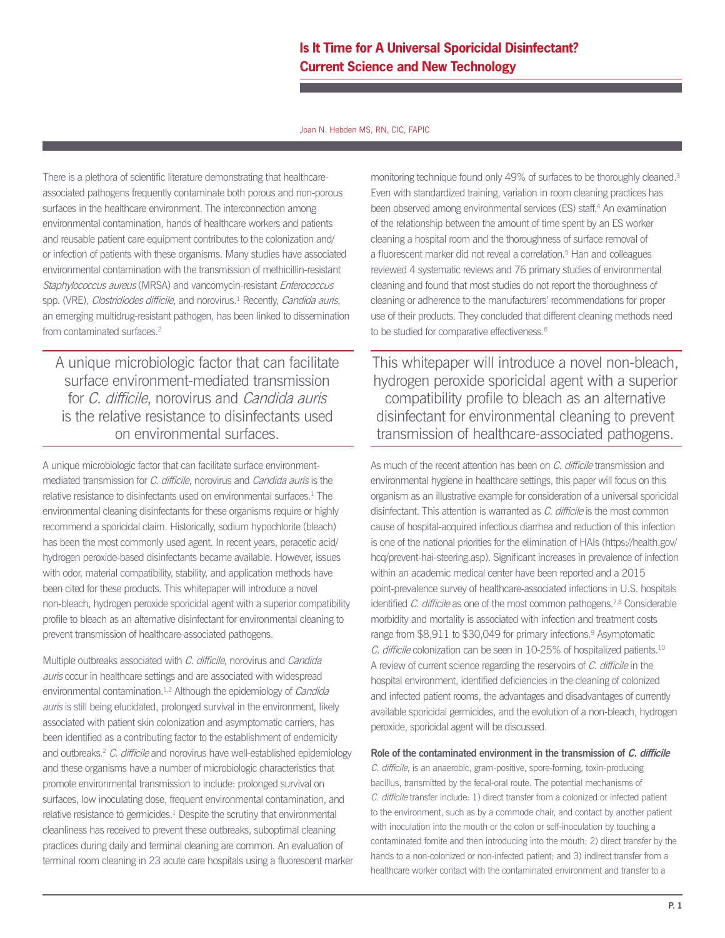Joan N. Hebden MS, RN, CIC, FAPIC

There is a plethora of scientific literature demonstrating that healthcareassociated pathogens frequently contaminate both porous and non-porous surfaces in the healthcare environment. The interconnection among environmental contamination, hands of healthcare workers and patients and reusable patient care equipment contributes to the colonization and/ or infection of patients with these organisms. Many studies have associated environmental contamination with the transmission of methicillin-resistant Staphylococcus aureus (MRSA) and vancomycin-resistant Enterococcus spp. (VRE), *Clostridiodes difficile*, and norovirus.<sup>1</sup> Recently, *Candida auris*, an emerging multidrug-resistant pathogen, has been linked to dissemination from contaminated surfaces.<sup>2</sup>

A unique microbiologic factor that can facilitate surface environment-mediated transmission for C. difficile, norovirus and Candida auris is the relative resistance to disinfectants used on environmental surfaces.

A unique microbiologic factor that can facilitate surface environmentmediated transmission for C. difficile, norovirus and Candida auris is the relative resistance to disinfectants used on environmental surfaces.<sup>1</sup> The environmental cleaning disinfectants for these organisms require or highly recommend a sporicidal claim. Historically, sodium hypochlorite (bleach) has been the most commonly used agent. In recent years, peracetic acid/ hydrogen peroxide-based disinfectants became available. However, issues with odor, material compatibility, stability, and application methods have been cited for these products. This whitepaper will introduce a novel non-bleach, hydrogen peroxide sporicidal agent with a superior compatibility profile to bleach as an alternative disinfectant for environmental cleaning to prevent transmission of healthcare-associated pathogens.

Multiple outbreaks associated with C. difficile, norovirus and Candida auris occur in healthcare settings and are associated with widespread environmental contamination.<sup>1,2</sup> Although the epidemiology of *Candida* auris is still being elucidated, prolonged survival in the environment, likely associated with patient skin colonization and asymptomatic carriers, has been identified as a contributing factor to the establishment of endemicity and outbreaks.<sup>2</sup> C. difficile and norovirus have well-established epidemiology and these organisms have a number of microbiologic characteristics that promote environmental transmission to include: prolonged survival on surfaces, low inoculating dose, frequent environmental contamination, and relative resistance to germicides.<sup>1</sup> Despite the scrutiny that environmental cleanliness has received to prevent these outbreaks, suboptimal cleaning practices during daily and terminal cleaning are common. An evaluation of terminal room cleaning in 23 acute care hospitals using a fluorescent marker monitoring technique found only 49% of surfaces to be thoroughly cleaned.<sup>3</sup> Even with standardized training, variation in room cleaning practices has been observed among environmental services (ES) staff.<sup>4</sup> An examination of the relationship between the amount of time spent by an ES worker cleaning a hospital room and the thoroughness of surface removal of a fluorescent marker did not reveal a correlation.<sup>5</sup> Han and colleagues reviewed 4 systematic reviews and 76 primary studies of environmental cleaning and found that most studies do not report the thoroughness of cleaning or adherence to the manufacturers' recommendations for proper use of their products. They concluded that different cleaning methods need to be studied for comparative effectiveness.<sup>6</sup>

This whitepaper will introduce a novel non-bleach, hydrogen peroxide sporicidal agent with a superior compatibility profile to bleach as an alternative disinfectant for environmental cleaning to prevent transmission of healthcare-associated pathogens.

As much of the recent attention has been on C. difficile transmission and environmental hygiene in healthcare settings, this paper will focus on this organism as an illustrative example for consideration of a universal sporicidal disinfectant. This attention is warranted as C. difficile is the most common cause of hospital-acquired infectious diarrhea and reduction of this infection is one of the national priorities for the elimination of HAIs (https://health.gov/ hcq/prevent-hai-steering.asp). Significant increases in prevalence of infection within an academic medical center have been reported and a 2015 point-prevalence survey of healthcare-associated infections in U.S. hospitals identified C. difficile as one of the most common pathogens.<sup>7,8</sup> Considerable morbidity and mortality is associated with infection and treatment costs range from \$8,911 to \$30,049 for primary infections.<sup>9</sup> Asymptomatic C. difficile colonization can be seen in 10-25% of hospitalized patients.10 A review of current science regarding the reservoirs of C. difficile in the hospital environment, identified deficiencies in the cleaning of colonized and infected patient rooms, the advantages and disadvantages of currently available sporicidal germicides, and the evolution of a non-bleach, hydrogen peroxide, sporicidal agent will be discussed.

**Role of the contaminated environment in the transmission of C. difficile**

C. difficile, is an anaerobic, gram-positive, spore-forming, toxin-producing bacillus, transmitted by the fecal-oral route. The potential mechanisms of C. difficile transfer include: 1) direct transfer from a colonized or infected patient to the environment, such as by a commode chair, and contact by another patient with inoculation into the mouth or the colon or self-inoculation by touching a contaminated fomite and then introducing into the mouth; 2) direct transfer by the hands to a non-colonized or non-infected patient; and 3) indirect transfer from a healthcare worker contact with the contaminated environment and transfer to a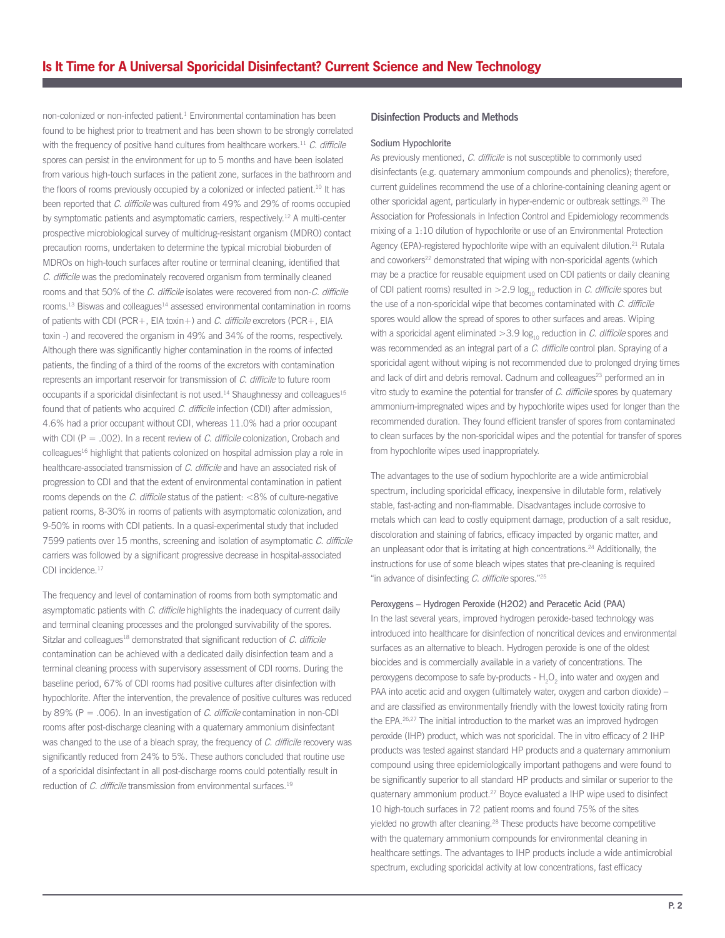non-colonized or non-infected patient.<sup>1</sup> Environmental contamination has been found to be highest prior to treatment and has been shown to be strongly correlated with the frequency of positive hand cultures from healthcare workers.<sup>11</sup> C. difficile spores can persist in the environment for up to 5 months and have been isolated from various high-touch surfaces in the patient zone, surfaces in the bathroom and the floors of rooms previously occupied by a colonized or infected patient.<sup>10</sup> It has been reported that C. difficile was cultured from 49% and 29% of rooms occupied by symptomatic patients and asymptomatic carriers, respectively.<sup>12</sup> A multi-center prospective microbiological survey of multidrug-resistant organism (MDRO) contact precaution rooms, undertaken to determine the typical microbial bioburden of MDROs on high-touch surfaces after routine or terminal cleaning, identified that C. difficile was the predominately recovered organism from terminally cleaned rooms and that 50% of the C. difficile isolates were recovered from non-C. difficile rooms.<sup>13</sup> Biswas and colleagues<sup>14</sup> assessed environmental contamination in rooms of patients with CDI (PCR+, EIA toxin+) and C. difficile excretors (PCR+, EIA toxin -) and recovered the organism in 49% and 34% of the rooms, respectively. Although there was significantly higher contamination in the rooms of infected patients, the finding of a third of the rooms of the excretors with contamination represents an important reservoir for transmission of C. difficile to future room occupants if a sporicidal disinfectant is not used.<sup>14</sup> Shaughnessy and colleagues<sup>15</sup> found that of patients who acquired *C. difficile* infection (CDI) after admission, 4.6% had a prior occupant without CDI, whereas 11.0% had a prior occupant with CDI ( $P = .002$ ). In a recent review of C. difficile colonization, Crobach and colleagues<sup>16</sup> highlight that patients colonized on hospital admission play a role in healthcare-associated transmission of C. difficile and have an associated risk of progression to CDI and that the extent of environmental contamination in patient rooms depends on the C. difficile status of the patient:  $<8\%$  of culture-negative patient rooms, 8-30% in rooms of patients with asymptomatic colonization, and 9-50% in rooms with CDI patients. In a quasi-experimental study that included 7599 patients over 15 months, screening and isolation of asymptomatic C. difficile carriers was followed by a significant progressive decrease in hospital-associated CDI incidence.<sup>17</sup>

The frequency and level of contamination of rooms from both symptomatic and asymptomatic patients with *C. difficile* highlights the inadequacy of current daily and terminal cleaning processes and the prolonged survivability of the spores. Sitzlar and colleagues<sup>18</sup> demonstrated that significant reduction of  $C$ . difficile contamination can be achieved with a dedicated daily disinfection team and a terminal cleaning process with supervisory assessment of CDI rooms. During the baseline period, 67% of CDI rooms had positive cultures after disinfection with hypochlorite. After the intervention, the prevalence of positive cultures was reduced by 89% (P = .006). In an investigation of C. difficile contamination in non-CDI rooms after post-discharge cleaning with a quaternary ammonium disinfectant was changed to the use of a bleach spray, the frequency of C. difficile recovery was significantly reduced from 24% to 5%. These authors concluded that routine use of a sporicidal disinfectant in all post-discharge rooms could potentially result in reduction of C. difficile transmission from environmental surfaces.<sup>19</sup>

### **Disinfection Products and Methods**

### Sodium Hypochlorite

As previously mentioned, C. difficile is not susceptible to commonly used disinfectants (e.g. quaternary ammonium compounds and phenolics); therefore, current guidelines recommend the use of a chlorine-containing cleaning agent or other sporicidal agent, particularly in hyper-endemic or outbreak settings.<sup>20</sup> The Association for Professionals in Infection Control and Epidemiology recommends mixing of a 1:10 dilution of hypochlorite or use of an Environmental Protection Agency (EPA)-registered hypochlorite wipe with an equivalent dilution.<sup>21</sup> Rutala and coworkers<sup>22</sup> demonstrated that wiping with non-sporicidal agents (which may be a practice for reusable equipment used on CDI patients or daily cleaning of CDI patient rooms) resulted in  $>2.9$  log<sub>10</sub> reduction in C. difficile spores but the use of a non-sporicidal wipe that becomes contaminated with C. difficile spores would allow the spread of spores to other surfaces and areas. Wiping with a sporicidal agent eliminated  $>3.9$  log<sub>10</sub> reduction in C. difficile spores and was recommended as an integral part of a C. difficile control plan. Spraying of a sporicidal agent without wiping is not recommended due to prolonged drying times and lack of dirt and debris removal. Cadnum and colleagues<sup>23</sup> performed an in vitro study to examine the potential for transfer of C. difficile spores by quaternary ammonium-impregnated wipes and by hypochlorite wipes used for longer than the recommended duration. They found efficient transfer of spores from contaminated to clean surfaces by the non-sporicidal wipes and the potential for transfer of spores from hypochlorite wipes used inappropriately.

The advantages to the use of sodium hypochlorite are a wide antimicrobial spectrum, including sporicidal efficacy, inexpensive in dilutable form, relatively stable, fast-acting and non-flammable. Disadvantages include corrosive to metals which can lead to costly equipment damage, production of a salt residue, discoloration and staining of fabrics, efficacy impacted by organic matter, and an unpleasant odor that is irritating at high concentrations.<sup>24</sup> Additionally, the instructions for use of some bleach wipes states that pre-cleaning is required "in advance of disinfecting  $C$ . difficile spores."<sup>25</sup>

#### Peroxygens – Hydrogen Peroxide (H2O2) and Peracetic Acid (PAA)

In the last several years, improved hydrogen peroxide-based technology was introduced into healthcare for disinfection of noncritical devices and environmental surfaces as an alternative to bleach. Hydrogen peroxide is one of the oldest biocides and is commercially available in a variety of concentrations. The peroxygens decompose to safe by-products -  $H_2O_2$  into water and oxygen and PAA into acetic acid and oxygen (ultimately water, oxygen and carbon dioxide) – and are classified as environmentally friendly with the lowest toxicity rating from the EPA.<sup>26,27</sup> The initial introduction to the market was an improved hydrogen peroxide (IHP) product, which was not sporicidal. The in vitro efficacy of 2 IHP products was tested against standard HP products and a quaternary ammonium compound using three epidemiologically important pathogens and were found to be significantly superior to all standard HP products and similar or superior to the quaternary ammonium product.<sup>27</sup> Boyce evaluated a IHP wipe used to disinfect 10 high-touch surfaces in 72 patient rooms and found 75% of the sites yielded no growth after cleaning.28 These products have become competitive with the quaternary ammonium compounds for environmental cleaning in healthcare settings. The advantages to IHP products include a wide antimicrobial spectrum, excluding sporicidal activity at low concentrations, fast efficacy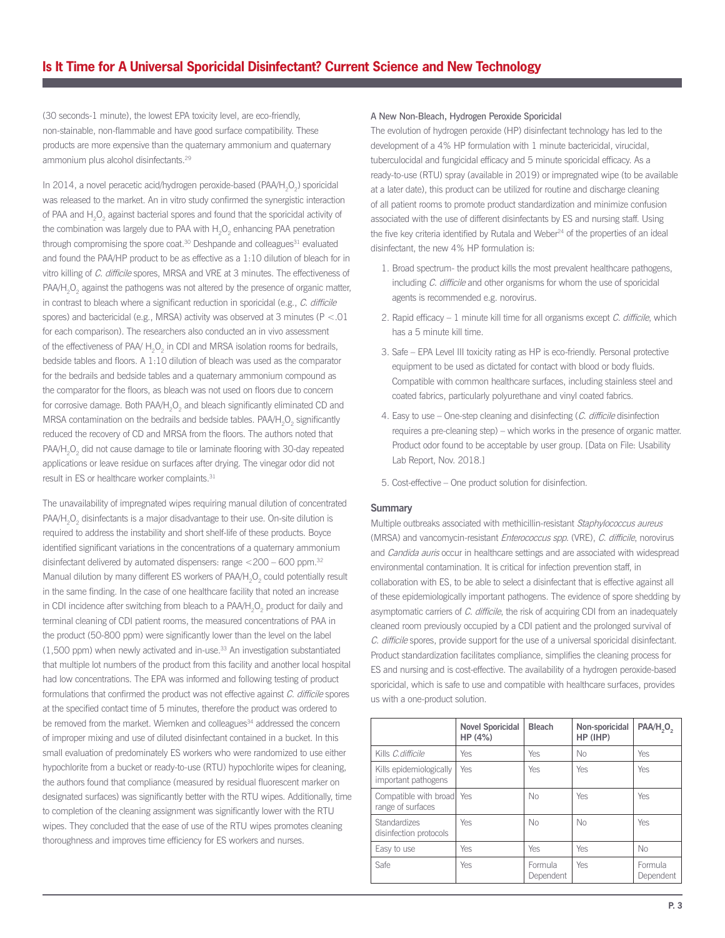(30 seconds-1 minute), the lowest EPA toxicity level, are eco-friendly, non-stainable, non-flammable and have good surface compatibility. These products are more expensive than the quaternary ammonium and quaternary ammonium plus alcohol disinfectants.29

In 2014, a novel peracetic acid/hydrogen peroxide-based (PAA/H<sub>2</sub>O<sub>2</sub>) sporicidal was released to the market. An in vitro study confirmed the synergistic interaction of PAA and  $H_2O_2$  against bacterial spores and found that the sporicidal activity of the combination was largely due to PAA with  $\rm H_2O_2$  enhancing PAA penetration through compromising the spore coat. $30$  Deshpande and colleagues $31$  evaluated and found the PAA/HP product to be as effective as a 1:10 dilution of bleach for in vitro killing of C. difficile spores, MRSA and VRE at 3 minutes. The effectiveness of  $\mathsf{PA}\mathsf{AH}_2\mathsf{O}_2$  against the pathogens was not altered by the presence of organic matter, in contrast to bleach where a significant reduction in sporicidal (e.g., C. difficile spores) and bactericidal (e.g., MRSA) activity was observed at 3 minutes ( $P < 01$ ) for each comparison). The researchers also conducted an in vivo assessment of the effectiveness of PAA/ $H_2O_2$  in CDI and MRSA isolation rooms for bedrails, bedside tables and floors. A 1:10 dilution of bleach was used as the comparator for the bedrails and bedside tables and a quaternary ammonium compound as the comparator for the floors, as bleach was not used on floors due to concern for corrosive damage. Both PAA/H<sub>2</sub>O<sub>2</sub> and bleach significantly eliminated CD and MRSA contamination on the bedrails and bedside tables. PAA/H<sub>2</sub>O<sub>2</sub> significantly reduced the recovery of CD and MRSA from the floors. The authors noted that PAA/H<sub>2</sub>O<sub>2</sub> did not cause damage to tile or laminate flooring with 30-day repeated applications or leave residue on surfaces after drying. The vinegar odor did not result in ES or healthcare worker complaints.<sup>31</sup>

The unavailability of impregnated wipes requiring manual dilution of concentrated  $PAA/H<sub>2</sub>O<sub>2</sub>$  disinfectants is a major disadvantage to their use. On-site dilution is required to address the instability and short shelf-life of these products. Boyce identified significant variations in the concentrations of a quaternary ammonium disinfectant delivered by automated dispensers: range  $<$  200 – 600 ppm.<sup>32</sup> Manual dilution by many different ES workers of PAA/H<sub>2</sub>O<sub>2</sub> could potentially result in the same finding. In the case of one healthcare facility that noted an increase in CDI incidence after switching from bleach to a PAA/H<sub>2</sub>O<sub>2</sub> product for daily and terminal cleaning of CDI patient rooms, the measured concentrations of PAA in the product (50-800 ppm) were significantly lower than the level on the label  $(1,500$  ppm) when newly activated and in-use. $33$  An investigation substantiated that multiple lot numbers of the product from this facility and another local hospital had low concentrations. The EPA was informed and following testing of product formulations that confirmed the product was not effective against C. difficile spores at the specified contact time of 5 minutes, therefore the product was ordered to be removed from the market. Wiemken and colleagues<sup>34</sup> addressed the concern of improper mixing and use of diluted disinfectant contained in a bucket. In this small evaluation of predominately ES workers who were randomized to use either hypochlorite from a bucket or ready-to-use (RTU) hypochlorite wipes for cleaning, the authors found that compliance (measured by residual fluorescent marker on designated surfaces) was significantly better with the RTU wipes. Additionally, time to completion of the cleaning assignment was significantly lower with the RTU wipes. They concluded that the ease of use of the RTU wipes promotes cleaning thoroughness and improves time efficiency for ES workers and nurses.

### A New Non-Bleach, Hydrogen Peroxide Sporicidal

The evolution of hydrogen peroxide (HP) disinfectant technology has led to the development of a 4% HP formulation with 1 minute bactericidal, virucidal, tuberculocidal and fungicidal efficacy and 5 minute sporicidal efficacy. As a ready-to-use (RTU) spray (available in 2019) or impregnated wipe (to be available at a later date), this product can be utilized for routine and discharge cleaning of all patient rooms to promote product standardization and minimize confusion associated with the use of different disinfectants by ES and nursing staff. Using the five key criteria identified by Rutala and Weber $^{24}$  of the properties of an ideal disinfectant, the new 4% HP formulation is:

- 1. Broad spectrum- the product kills the most prevalent healthcare pathogens, including C. difficile and other organisms for whom the use of sporicidal agents is recommended e.g. norovirus.
- 2. Rapid efficacy  $-1$  minute kill time for all organisms except C. difficile, which has a 5 minute kill time.
- 3. Safe EPA Level III toxicity rating as HP is eco-friendly. Personal protective equipment to be used as dictated for contact with blood or body fluids. Compatible with common healthcare surfaces, including stainless steel and coated fabrics, particularly polyurethane and vinyl coated fabrics.
- 4. Easy to use One-step cleaning and disinfecting (C. difficile disinfection requires a pre-cleaning step) – which works in the presence of organic matter. Product odor found to be acceptable by user group. [Data on File: Usability Lab Report, Nov. 2018.]
- 5. Cost-effective One product solution for disinfection.

#### **Summary**

Multiple outbreaks associated with methicillin-resistant Staphylococcus aureus (MRSA) and vancomycin-resistant Enterococcus spp. (VRE), C. difficile, norovirus and Candida auris occur in healthcare settings and are associated with widespread environmental contamination. It is critical for infection prevention staff, in collaboration with ES, to be able to select a disinfectant that is effective against all of these epidemiologically important pathogens. The evidence of spore shedding by asymptomatic carriers of C. difficile, the risk of acquiring CDI from an inadequately cleaned room previously occupied by a CDI patient and the prolonged survival of C. difficile spores, provide support for the use of a universal sporicidal disinfectant. Product standardization facilitates compliance, simplifies the cleaning process for ES and nursing and is cost-effective. The availability of a hydrogen peroxide-based sporicidal, which is safe to use and compatible with healthcare surfaces, provides us with a one-product solution.

|                                                  | <b>Novel Sporicidal</b><br>HP(4%) | <b>Bleach</b>        | Non-sporicidal<br>HP (IHP) | PAA/H, O,            |
|--------------------------------------------------|-----------------------------------|----------------------|----------------------------|----------------------|
| Kills C.difficile                                | <b>Yes</b>                        | Yes                  | <b>No</b>                  | Yes                  |
| Kills epidemiologically<br>important pathogens   | <b>Yes</b>                        | <b>Yes</b>           | Yes                        | Yes                  |
| Compatible with broad   Yes<br>range of surfaces |                                   | <b>No</b>            | <b>Yes</b>                 | Yes                  |
| Standardizes<br>disinfection protocols           | Yes                               | No.                  | <b>No</b>                  | <b>Yes</b>           |
| Easy to use                                      | <b>Yes</b>                        | Yes                  | Yes                        | No                   |
| Safe                                             | <b>Yes</b>                        | Formula<br>Dependent | Yes                        | Formula<br>Dependent |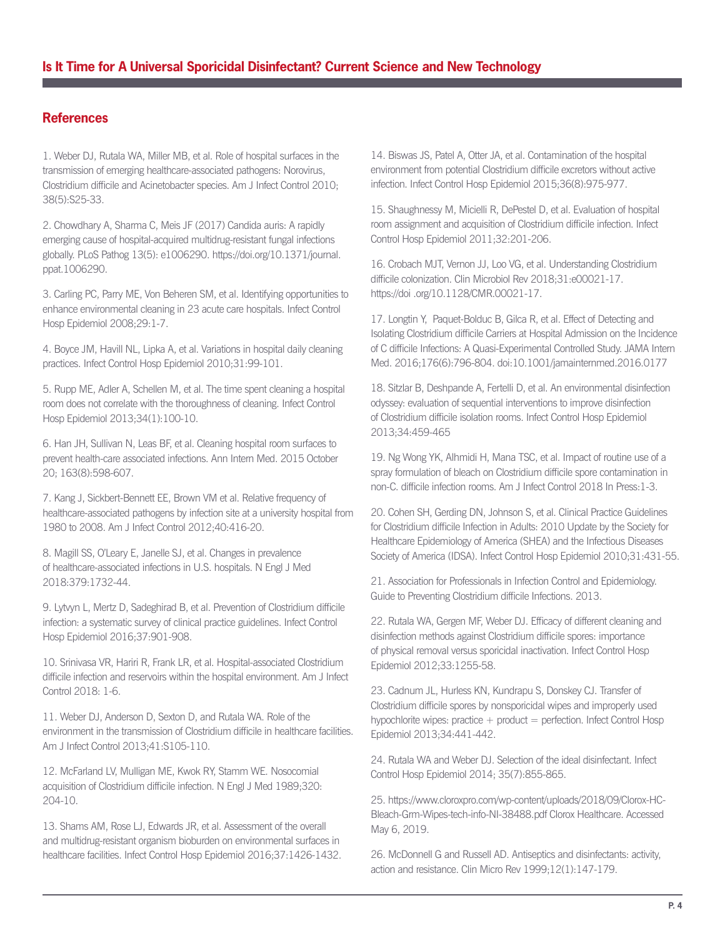## **References**

1. Weber DJ, Rutala WA, Miller MB, et al. Role of hospital surfaces in the transmission of emerging healthcare-associated pathogens: Norovirus, Clostridium difficile and Acinetobacter species. Am J Infect Control 2010; 38(5):S25-33.

2. Chowdhary A, Sharma C, Meis JF (2017) Candida auris: A rapidly emerging cause of hospital-acquired multidrug-resistant fungal infections globally. PLoS Pathog 13(5): e1006290. https://doi.org/10.1371/journal. ppat.1006290.

3. Carling PC, Parry ME, Von Beheren SM, et al. Identifying opportunities to enhance environmental cleaning in 23 acute care hospitals. Infect Control Hosp Epidemiol 2008;29:1-7.

4. Boyce JM, Havill NL, Lipka A, et al. Variations in hospital daily cleaning practices. Infect Control Hosp Epidemiol 2010;31:99-101.

5. Rupp ME, Adler A, Schellen M, et al. The time spent cleaning a hospital room does not correlate with the thoroughness of cleaning. Infect Control Hosp Epidemiol 2013;34(1):100-10.

6. Han JH, Sullivan N, Leas BF, et al. Cleaning hospital room surfaces to prevent health-care associated infections. Ann Intern Med. 2015 October 20; 163(8):598-607.

7. Kang J, Sickbert-Bennett EE, Brown VM et al. Relative frequency of healthcare-associated pathogens by infection site at a university hospital from 1980 to 2008. Am J Infect Control 2012;40:416-20.

8. Magill SS, O'Leary E, Janelle SJ, et al. Changes in prevalence of healthcare-associated infections in U.S. hospitals. N Engl J Med 2018:379:1732-44.

9. Lytvyn L, Mertz D, Sadeghirad B, et al. Prevention of Clostridium difficile infection: a systematic survey of clinical practice guidelines. Infect Control Hosp Epidemiol 2016;37:901-908.

10. Srinivasa VR, Hariri R, Frank LR, et al. Hospital-associated Clostridium difficile infection and reservoirs within the hospital environment. Am J Infect Control 2018: 1-6.

11. Weber DJ, Anderson D, Sexton D, and Rutala WA. Role of the environment in the transmission of Clostridium difficile in healthcare facilities. Am J Infect Control 2013;41:S105-110.

12. McFarland LV, Mulligan ME, Kwok RY, Stamm WE. Nosocomial acquisition of Clostridium difficile infection. N Engl J Med 1989;320: 204-10.

13. Shams AM, Rose LJ, Edwards JR, et al. Assessment of the overall and multidrug-resistant organism bioburden on environmental surfaces in healthcare facilities. Infect Control Hosp Epidemiol 2016;37:1426-1432. 14. Biswas JS, Patel A, Otter JA, et al. Contamination of the hospital environment from potential Clostridium difficile excretors without active infection. Infect Control Hosp Epidemiol 2015;36(8):975-977.

15. Shaughnessy M, Micielli R, DePestel D, et al. Evaluation of hospital room assignment and acquisition of Clostridium difficile infection. Infect Control Hosp Epidemiol 2011;32:201-206.

16. Crobach MJT, Vernon JJ, Loo VG, et al. Understanding Clostridium difficile colonization. Clin Microbiol Rev 2018;31:e00021-17. https://doi .org/10.1128/CMR.00021-17.

17. Longtin Y, Paquet-Bolduc B, Gilca R, et al. Effect of Detecting and Isolating Clostridium difficile Carriers at Hospital Admission on the Incidence of C difficile Infections: A Quasi-Experimental Controlled Study. JAMA Intern Med. 2016;176(6):796-804. doi:10.1001/jamainternmed.2016.0177

18. Sitzlar B, Deshpande A, Fertelli D, et al. An environmental disinfection odyssey: evaluation of sequential interventions to improve disinfection of Clostridium difficile isolation rooms. Infect Control Hosp Epidemiol 2013;34:459-465

19. Ng Wong YK, Alhmidi H, Mana TSC, et al. Impact of routine use of a spray formulation of bleach on Clostridium difficile spore contamination in non-C. difficile infection rooms. Am J Infect Control 2018 In Press:1-3.

20. Cohen SH, Gerding DN, Johnson S, et al. Clinical Practice Guidelines for Clostridium difficile Infection in Adults: 2010 Update by the Society for Healthcare Epidemiology of America (SHEA) and the Infectious Diseases Society of America (IDSA). Infect Control Hosp Epidemiol 2010;31:431-55.

21. Association for Professionals in Infection Control and Epidemiology. Guide to Preventing Clostridium difficile Infections. 2013.

22. Rutala WA, Gergen MF, Weber DJ. Efficacy of different cleaning and disinfection methods against Clostridium difficile spores: importance of physical removal versus sporicidal inactivation. Infect Control Hosp Epidemiol 2012;33:1255-58.

23. Cadnum JL, Hurless KN, Kundrapu S, Donskey CJ. Transfer of Clostridium difficile spores by nonsporicidal wipes and improperly used hypochlorite wipes: practice  $+$  product  $=$  perfection. Infect Control Hosp Epidemiol 2013;34:441-442.

24. Rutala WA and Weber DJ. Selection of the ideal disinfectant. Infect Control Hosp Epidemiol 2014; 35(7):855-865.

25. https://www.cloroxpro.com/wp-content/uploads/2018/09/Clorox-HC-Bleach-Grm-Wipes-tech-info-NI-38488.pdf Clorox Healthcare. Accessed May 6, 2019.

26. McDonnell G and Russell AD. Antiseptics and disinfectants: activity, action and resistance. Clin Micro Rev 1999;12(1):147-179.